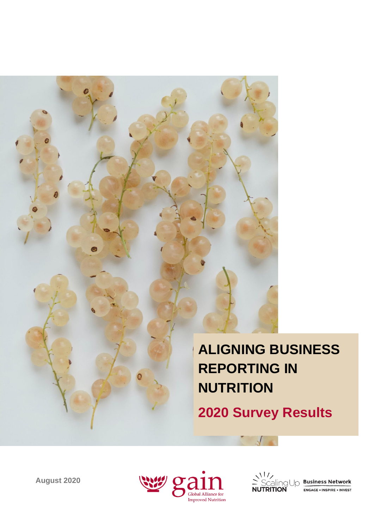

**REPORTING IN** 

**August 2020** 



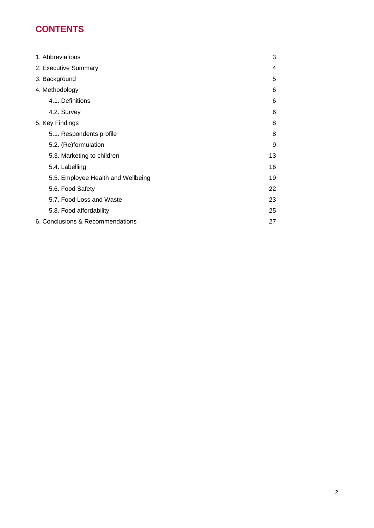# **CONTENTS**

| 1. Abbreviations                   | 3  |
|------------------------------------|----|
| 2. Executive Summary               | 4  |
| 3. Background                      | 5  |
| 4. Methodology                     | 6  |
| 4.1. Definitions                   | 6  |
| 4.2. Survey                        | 6  |
| 5. Key Findings                    | 8  |
| 5.1. Respondents profile           | 8  |
| 5.2. (Re)formulation               | 9  |
| 5.3. Marketing to children         | 13 |
| 5.4. Labelling                     | 16 |
| 5.5. Employee Health and Wellbeing | 19 |
| 5.6. Food Safety                   | 22 |
| 5.7. Food Loss and Waste           | 23 |
| 5.8. Food affordability            | 25 |
| 6. Conclusions & Recommendations   |    |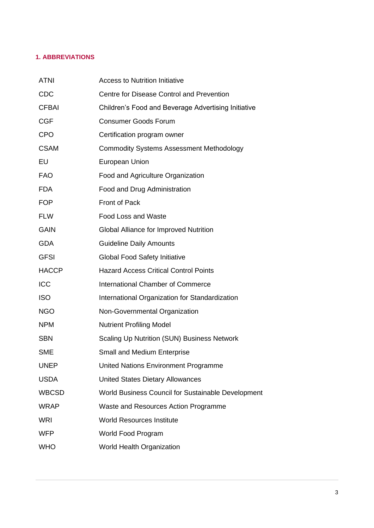## <span id="page-2-0"></span>**1. ABBREVIATIONS**

| <b>ATNI</b>  | <b>Access to Nutrition Initiative</b>               |
|--------------|-----------------------------------------------------|
| <b>CDC</b>   | Centre for Disease Control and Prevention           |
| <b>CFBAI</b> | Children's Food and Beverage Advertising Initiative |
| <b>CGF</b>   | <b>Consumer Goods Forum</b>                         |
| <b>CPO</b>   | Certification program owner                         |
| <b>CSAM</b>  | <b>Commodity Systems Assessment Methodology</b>     |
| EU           | <b>European Union</b>                               |
| <b>FAO</b>   | Food and Agriculture Organization                   |
| <b>FDA</b>   | Food and Drug Administration                        |
| <b>FOP</b>   | Front of Pack                                       |
| <b>FLW</b>   | <b>Food Loss and Waste</b>                          |
| <b>GAIN</b>  | Global Alliance for Improved Nutrition              |
| <b>GDA</b>   | <b>Guideline Daily Amounts</b>                      |
| <b>GFSI</b>  | <b>Global Food Safety Initiative</b>                |
| <b>HACCP</b> | <b>Hazard Access Critical Control Points</b>        |
| ICC          | <b>International Chamber of Commerce</b>            |
| <b>ISO</b>   | International Organization for Standardization      |
| <b>NGO</b>   | Non-Governmental Organization                       |
| <b>NPM</b>   | <b>Nutrient Profiling Model</b>                     |
| <b>SBN</b>   | Scaling Up Nutrition (SUN) Business Network         |
| <b>SME</b>   | <b>Small and Medium Enterprise</b>                  |
| <b>UNEP</b>  | United Nations Environment Programme                |
| <b>USDA</b>  | <b>United States Dietary Allowances</b>             |
| <b>WBCSD</b> | World Business Council for Sustainable Development  |
| <b>WRAP</b>  | Waste and Resources Action Programme                |
| <b>WRI</b>   | <b>World Resources Institute</b>                    |
| <b>WFP</b>   | World Food Program                                  |
| <b>WHO</b>   | World Health Organization                           |
|              |                                                     |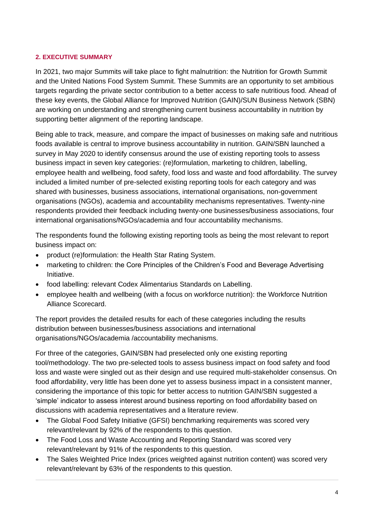## <span id="page-3-0"></span>**2. EXECUTIVE SUMMARY**

In 2021, two major Summits will take place to fight malnutrition: the Nutrition for Growth Summit and the United Nations Food System Summit. These Summits are an opportunity to set ambitious targets regarding the private sector contribution to a better access to safe nutritious food. Ahead of these key events, the Global Alliance for Improved Nutrition (GAIN)/SUN Business Network (SBN) are working on understanding and strengthening current business accountability in nutrition by supporting better alignment of the reporting landscape.

Being able to track, measure, and compare the impact of businesses on making safe and nutritious foods available is central to improve business accountability in nutrition. GAIN/SBN launched a survey in May 2020 to identify consensus around the use of existing reporting tools to assess business impact in seven key categories: (re)formulation, marketing to children, labelling, employee health and wellbeing, food safety, food loss and waste and food affordability. The survey included a limited number of pre-selected existing reporting tools for each category and was shared with businesses, business associations, international organisations, non-government organisations (NGOs), academia and accountability mechanisms representatives. Twenty-nine respondents provided their feedback including twenty-one businesses/business associations, four international organisations/NGOs/academia and four accountability mechanisms.

The respondents found the following existing reporting tools as being the most relevant to report business impact on:

- product (re)formulation: the Health Star Rating System.
- marketing to children: the Core Principles of the Children's Food and Beverage Advertising Initiative.
- food labelling: relevant Codex Alimentarius Standards on Labelling.
- employee health and wellbeing (with a focus on workforce nutrition): the Workforce Nutrition Alliance Scorecard.

The report provides the detailed results for each of these categories including the results distribution between businesses/business associations and international organisations/NGOs/academia /accountability mechanisms.

For three of the categories, GAIN/SBN had preselected only one existing reporting tool/methodology. The two pre-selected tools to assess business impact on food safety and food loss and waste were singled out as their design and use required multi-stakeholder consensus. On food affordability, very little has been done yet to assess business impact in a consistent manner, considering the importance of this topic for better access to nutrition GAIN/SBN suggested a 'simple' indicator to assess interest around business reporting on food affordability based on discussions with academia representatives and a literature review.

- The Global Food Safety Initiative (GFSI) benchmarking requirements was scored very relevant/relevant by 92% of the respondents to this question.
- The Food Loss and Waste Accounting and Reporting Standard was scored very relevant/relevant by 91% of the respondents to this question.
- The Sales Weighted Price Index (prices weighted against nutrition content) was scored very relevant/relevant by 63% of the respondents to this question.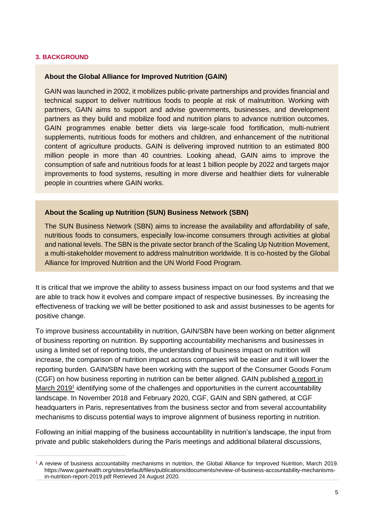#### <span id="page-4-0"></span>**3. BACKGROUND**

#### **About the Global Alliance for Improved Nutrition (GAIN)**

GAIN was launched in 2002, it mobilizes public-private partnerships and provides financial and technical support to deliver nutritious foods to people at risk of malnutrition. Working with partners, GAIN aims to support and advise governments, businesses, and development partners as they build and mobilize food and nutrition plans to advance nutrition outcomes. GAIN programmes enable better diets via large-scale food fortification, multi-nutrient supplements, nutritious foods for mothers and children, and enhancement of the nutritional content of agriculture products. GAIN is delivering improved nutrition to an estimated 800 million people in more than 40 countries. Looking ahead, GAIN aims to improve the consumption of safe and nutritious foods for at least 1 billion people by 2022 and targets major improvements to food systems, resulting in more diverse and healthier diets for vulnerable people in countries where GAIN works.

#### **About the Scaling up Nutrition (SUN) Business Network (SBN)**

The SUN Business Network (SBN) aims to increase the availability and affordability of safe, nutritious foods to consumers, especially low-income consumers through activities at global and national levels. The SBN is the private sector branch of the Scaling Up Nutrition Movement, a multi-stakeholder movement to address malnutrition worldwide. It is co-hosted by the Global Alliance for Improved Nutrition and the UN World Food Program.

It is critical that we improve the ability to assess business impact on our food systems and that we are able to track how it evolves and compare impact of respective businesses. By increasing the effectiveness of tracking we will be better positioned to ask and assist businesses to be agents for positive change.

To improve business accountability in nutrition, GAIN/SBN have been working on better alignment of business reporting on nutrition. By supporting accountability mechanisms and businesses in using a limited set of reporting tools, the understanding of business impact on nutrition will increase, the comparison of nutrition impact across companies will be easier and it will lower the reporting burden. GAIN/SBN have been working with the support of the Consumer Goods Forum (CGF) on how business reporting in nutrition can be better aligne[d](https://clicktime.symantec.com/3Uza8ecfKij6gUgijJ7fV157Vc?u=https%3A%2F%2Fwww.gainhealth.org%2Fsites%2Fdefault%2Ffiles%2Fpublications%2Fdocuments%2Freview-of-business-accountability-mechanisms-in-nutrition-report-2019.pdf). GAIN published a report in [March 2019](https://clicktime.symantec.com/3Uza8ecfKij6gUgijJ7fV157Vc?u=https%3A%2F%2Fwww.gainhealth.org%2Fsites%2Fdefault%2Ffiles%2Fpublications%2Fdocuments%2Freview-of-business-accountability-mechanisms-in-nutrition-report-2019.pdf)<sup>1</sup> identifying some of the challenges and opportunities in the current accountability landscape. In November 2018 and February 2020, CGF, GAIN and SBN gathered, at CGF headquarters in Paris, representatives from the business sector and from several accountability mechanisms to discuss potential ways to improve alignment of business reporting in nutrition.

Following an initial mapping of the business accountability in nutrition's landscape, the input from private and public stakeholders during the Paris meetings and additional bilateral discussions,

<sup>&</sup>lt;sup>1</sup> A review of business accountability mechanisms in nutrition, the Global Alliance for Improved Nutrition, March 2019. [https://www.gainhealth.org/sites/default/files/publications/documents/review-of-business-accountability-mechanisms](https://www.gainhealth.org/sites/default/files/publications/documents/review-of-business-accountability-mechanisms-in-nutrition-report-2019.pdf)[in-nutrition-report-2019.pdf](https://www.gainhealth.org/sites/default/files/publications/documents/review-of-business-accountability-mechanisms-in-nutrition-report-2019.pdf) Retrieved 24 August 2020.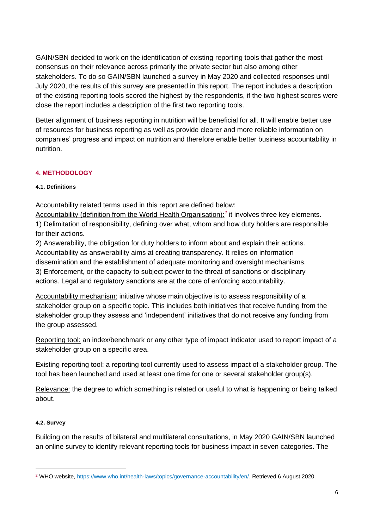GAIN/SBN decided to work on the identification of existing reporting tools that gather the most consensus on their relevance across primarily the private sector but also among other stakeholders. To do so GAIN/SBN launched a survey in May 2020 and collected responses until July 2020, the results of this survey are presented in this report. The report includes a description of the existing reporting tools scored the highest by the respondents, if the two highest scores were close the report includes a description of the first two reporting tools.

Better alignment of business reporting in nutrition will be beneficial for all. It will enable better use of resources for business reporting as well as provide clearer and more reliable information on companies' progress and impact on nutrition and therefore enable better business accountability in nutrition.

# <span id="page-5-0"></span>**4. METHODOLOGY**

## <span id="page-5-1"></span>**4.1. Definitions**

Accountability related terms used in this report are defined below:

Accountability (definition from the World Health Organisation):<sup>2</sup> it involves three key elements.

1) Delimitation of responsibility, defining over what, whom and how duty holders are responsible for their actions.

2) Answerability, the obligation for duty holders to inform about and explain their actions. Accountability as answerability aims at creating transparency. It relies on information dissemination and the establishment of adequate monitoring and oversight mechanisms. 3) Enforcement, or the capacity to subject power to the threat of sanctions or disciplinary actions. Legal and regulatory sanctions are at the core of enforcing accountability.

Accountability mechanism: initiative whose main objective is to assess responsibility of a stakeholder group on a specific topic. This includes both initiatives that receive funding from the stakeholder group they assess and 'independent' initiatives that do not receive any funding from the group assessed.

Reporting tool: an index/benchmark or any other type of impact indicator used to report impact of a stakeholder group on a specific area.

Existing reporting tool: a reporting tool currently used to assess impact of a stakeholder group. The tool has been launched and used at least one time for one or several stakeholder group(s).

Relevance: the degree to which something is related or useful to what is happening or being talked about.

## <span id="page-5-2"></span>**4.2. Survey**

Building on the results of bilateral and multilateral consultations, in May 2020 GAIN/SBN launched an online survey to identify relevant reporting tools for business impact in seven categories. The

<sup>2</sup> WHO website[, https://www.who.int/health-laws/topics/governance-accountability/en/.](https://www.who.int/health-laws/topics/governance-accountability/en/) Retrieved 6 August 2020.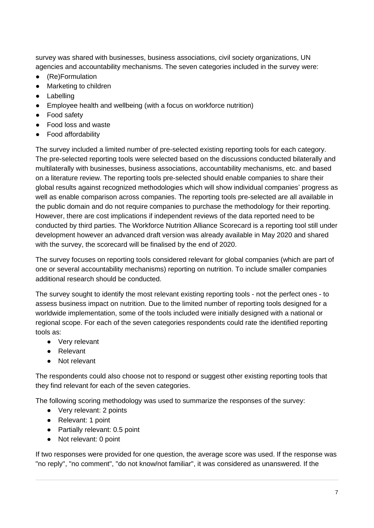survey was shared with businesses, business associations, civil society organizations, UN agencies and accountability mechanisms. The seven categories included in the survey were:

- (Re)Formulation
- Marketing to children
- Labelling
- Employee health and wellbeing (with a focus on workforce nutrition)
- Food safety
- Food loss and waste
- Food affordability

The [survey](https://clicktime.symantec.com/3VNyAxbAKj7LiSTg3AwSPPh7Vc?u=https%3A%2F%2Fform.jotform.com%2F201244264566352) included a limited number of pre-selected existing reporting tools for each category. The pre-selected reporting tools were selected based on the discussions conducted bilaterally and multilaterally with businesses, business associations, accountability mechanisms, etc. and based on a literature review. The reporting tools pre-selected should enable companies to share their global results against recognized methodologies which will show individual companies' progress as well as enable comparison across companies. The reporting tools pre-selected are all available in the public domain and do not require companies to purchase the methodology for their reporting. However, there are cost implications if independent reviews of the data reported need to be conducted by third parties. The Workforce Nutrition Alliance Scorecard is a reporting tool still under development however an advanced draft version was already available in May 2020 and shared with the survey, the scorecard will be finalised by the end of 2020.

The survey focuses on reporting tools considered relevant for global companies (which are part of one or several accountability mechanisms) reporting on nutrition. To include smaller companies additional research should be conducted.

The survey sought to identify the most relevant existing reporting tools - not the perfect ones - to assess business impact on nutrition. Due to the limited number of reporting tools designed for a worldwide implementation, some of the tools included were initially designed with a national or regional scope. For each of the seven categories respondents could rate the identified reporting tools as:

- Very relevant
- Relevant
- Not relevant

The respondents could also choose not to respond or suggest other existing reporting tools that they find relevant for each of the seven categories.

The following scoring methodology was used to summarize the responses of the survey:

- Very relevant: 2 points
- Relevant: 1 point
- Partially relevant: 0.5 point
- Not relevant: 0 point

If two responses were provided for one question, the average score was used. If the response was "no reply", "no comment", "do not know/not familiar", it was considered as unanswered. If the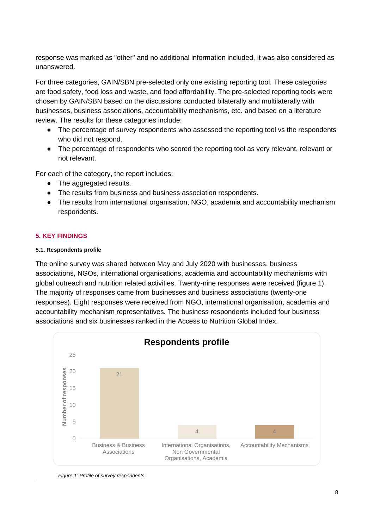response was marked as "other" and no additional information included, it was also considered as unanswered.

For three categories, GAIN/SBN pre-selected only one existing reporting tool. These categories are food safety, food loss and waste, and food affordability. The pre-selected reporting tools were chosen by GAIN/SBN based on the discussions conducted bilaterally and multilaterally with businesses, business associations, accountability mechanisms, etc. and based on a literature review. The results for these categories include:

- The percentage of survey respondents who assessed the reporting tool vs the respondents who did not respond.
- The percentage of respondents who scored the reporting tool as very relevant, relevant or not relevant.

For each of the category, the report includes:

- The aggregated results.
- The results from business and business association respondents.
- The results from international organisation, NGO, academia and accountability mechanism respondents.

## <span id="page-7-0"></span>**5. KEY FINDINGS**

#### <span id="page-7-1"></span>**5.1. Respondents profile**

The online survey was shared between May and July 2020 with businesses, business associations, NGOs, international organisations, academia and accountability mechanisms with global outreach and nutrition related activities. Twenty-nine responses were received (figure 1). The majority of responses came from businesses and business associations (twenty-one responses). Eight responses were received from NGO, international organisation, academia and accountability mechanism representatives. The business respondents included four business associations and six businesses ranked in the Access to Nutrition Global Index.



*Figure 1: Profile of survey respondents*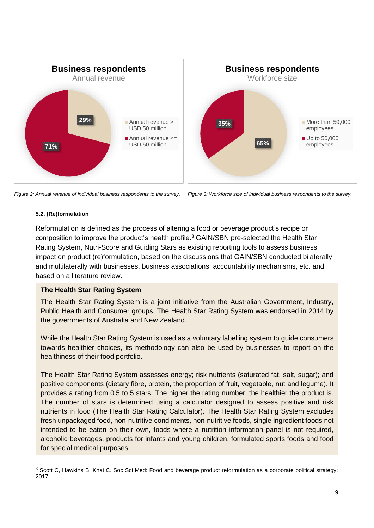

*Figure 2: Annual revenue of individual business respondents to the survey. Figure 3: Workforce size of individual business respondents to the survey.* 

#### <span id="page-8-0"></span>**5.2. (Re)formulation**

Reformulation is defined as the process of altering a food or beverage product's recipe or composition to improve the product's health profile.<sup>3</sup> GAIN/SBN pre-selected the Health Star Rating System, Nutri-Score and Guiding Stars as existing reporting tools to assess business impact on product (re)formulation, based on the discussions that GAIN/SBN conducted bilaterally and multilaterally with businesses, business associations, accountability mechanisms, etc. and based on a literature review.

## **[The Health Star Rating System](http://www.healthstarrating.gov.au/internet/healthstarrating/publishing.nsf/Content/home)**

The Health Star Rating System is a joint initiative from the Australian Government, Industry, Public Health and Consumer groups. The Health Star Rating System was endorsed in 2014 by the governments of Australia and New Zealand.

While the Health Star Rating System is used as a voluntary labelling system to guide consumers towards healthier choices, its methodology can also be used by businesses to report on the healthiness of their food portfolio.

The Health Star Rating System assesses energy; risk nutrients (saturated fat, salt, sugar); and positive components (dietary fibre, protein, the proportion of fruit, vegetable, nut and legume). It provides a rating from 0.5 to 5 stars. The higher the rating number, the healthier the product is. The number of stars is determined using a calculator designed to assess positive and risk nutrients in food [\(The Health Star Rating Calculator\)](http://www.healthstarrating.gov.au/internet/healthstarrating/publishing.nsf/Content/Calculator). The Health Star Rating System excludes fresh unpackaged food, non-nutritive condiments, non-nutritive foods, single ingredient foods not intended to be eaten on their own, foods where a nutrition information panel is not required, alcoholic beverages, products for infants and young children, formulated sports foods and food for special medical purposes.

<sup>&</sup>lt;sup>3</sup> Scott C, Hawkins B. Knai C. Soc Sci Med: Food and beverage product reformulation as a corporate political strategy; 2017.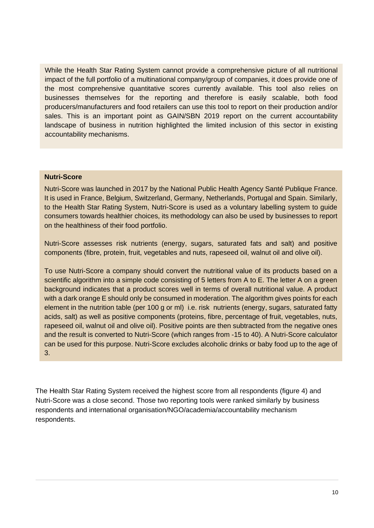While the Health Star Rating System cannot provide a comprehensive picture of all nutritional impact of the full portfolio of a multinational company/group of companies, it does provide one of the most comprehensive quantitative scores currently available. This tool also relies on businesses themselves for the reporting and therefore is easily scalable, both food producers/manufacturers and food retailers can use this tool to report on their production and/or sales. This is an important point as GAIN/SBN 2019 report on the current accountability landscape of business in nutrition highlighted the limited inclusion of this sector in existing accountability mechanisms.

#### **[Nutri-Score](https://www.santepubliquefrance.fr/determinants-de-sante/nutrition-et-activite-physique/articles/nutri-score)**

Nutri-Score was launched in 2017 by the National Public Health Agency Santé Publique France. It is used in France, Belgium, Switzerland, Germany, Netherlands, Portugal and Spain. Similarly, to the Health Star Rating System, Nutri-Score is used as a voluntary labelling system to guide consumers towards healthier choices, its methodology can also be used by businesses to report on the healthiness of their food portfolio.

Nutri-Score assesses risk nutrients (energy, sugars, saturated fats and salt) and positive components (fibre, protein, fruit, vegetables and nuts, rapeseed oil, walnut oil and olive oil).

To use Nutri-Score a company should convert the nutritional value of its products based on a scientific algorithm into a simple code consisting of 5 letters from A to E. The letter A on a green background indicates that a product scores well in terms of overall nutritional value. A product with a dark orange E should only be consumed in moderation. The algorithm gives points for each element in the nutrition table (per 100 g or ml) i.e. risk nutrients (energy, sugars, saturated fatty acids, salt) as well as positive components (proteins, fibre, percentage of fruit, vegetables, nuts, rapeseed oil, walnut oil and olive oil). Positive points are then subtracted from the negative ones and the result is converted to Nutri-Score (which ranges from -15 to 40). A Nutri-Score calculator can be used for this purpose. Nutri-Score excludes alcoholic drinks or baby food up to the age of 3.

The Health Star Rating System received the highest score from all respondents (figure 4) and Nutri-Score was a close second. Those two reporting tools were ranked similarly by business respondents and international organisation/NGO/academia/accountability mechanism respondents.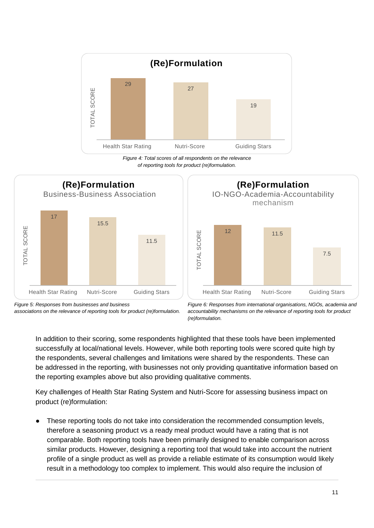

*Figure 4: Total scores of all respondents on the relevance of reporting tools for product (re)formulation.*





*Figure 5: Responses from businesses and business associations on the relevance of reporting tools for product (re)formulation.* 

*Figure 6: Responses from international organisations, NGOs, academia and accountability mechanisms on the relevance of reporting tools for product (re)formulation.*

In addition to their scoring, some respondents highlighted that these tools have been implemented successfully at local/national levels. However, while both reporting tools were scored quite high by the respondents, several challenges and limitations were shared by the respondents. These can be addressed in the reporting, with businesses not only providing quantitative information based on the reporting examples above but also providing qualitative comments.

Key challenges of Health Star Rating System and Nutri-Score for assessing business impact on product (re)formulation:

These reporting tools do not take into consideration the recommended consumption levels, therefore a seasoning product vs a ready meal product would have a rating that is not comparable. Both reporting tools have been primarily designed to enable comparison across similar products. However, designing a reporting tool that would take into account the nutrient profile of a single product as well as provide a reliable estimate of its consumption would likely result in a methodology too complex to implement. This would also require the inclusion of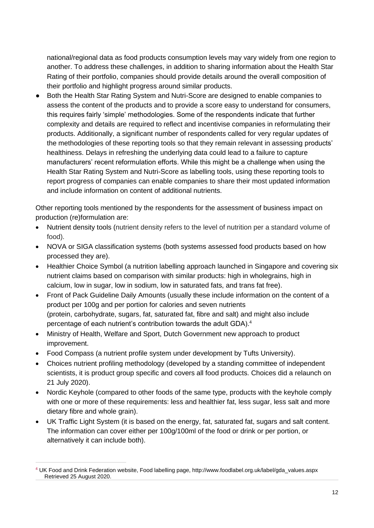national/regional data as food products consumption levels may vary widely from one region to another. To address these challenges, in addition to sharing information about the Health Star Rating of their portfolio, companies should provide details around the overall composition of their portfolio and highlight progress around similar products.

● Both the Health Star Rating System and Nutri-Score are designed to enable companies to assess the content of the products and to provide a score easy to understand for consumers, this requires fairly 'simple' methodologies. Some of the respondents indicate that further complexity and details are required to reflect and incentivise companies in reformulating their products. Additionally, a significant number of respondents called for very regular updates of the methodologies of these reporting tools so that they remain relevant in assessing products' healthiness. Delays in refreshing the underlying data could lead to a failure to capture manufacturers' recent reformulation efforts. While this might be a challenge when using the Health Star Rating System and Nutri-Score as labelling tools, using these reporting tools to report progress of companies can enable companies to share their most updated information and include information on content of additional nutrients.

Other reporting tools mentioned by the respondents for the assessment of business impact on production (re)formulation are:

- Nutrient density tools (nutrient density refers to the level of nutrition per a standard volume of food).
- NOVA or SIGA classification systems (both systems assessed food products based on how processed they are).
- Healthier Choice Symbol (a nutrition labelling approach launched in Singapore and covering six nutrient claims based on comparison with similar products: high in wholegrains, high in calcium, low in sugar, low in sodium, low in saturated fats, and trans fat free).
- Front of Pack Guideline Daily Amounts (usually these include information on the content of a product per 100g and per portion for [calories](http://www.foodlabel.org.uk/gda/gdalabel/nutrients.aspx#item1) and seven nutrients [\(protein,](http://www.foodlabel.org.uk/gda/gdalabel/other-nutrients.aspx#item1) [carbohydrate,](http://www.foodlabel.org.uk/gda/gdalabel/nutrients.aspx#item7) [sugars,](http://www.foodlabel.org.uk/gda/gdalabel/nutrients.aspx#item2) [fat,](http://www.foodlabel.org.uk/gda/gdalabel/nutrients.aspx#item3) [saturated fat,](http://www.foodlabel.org.uk/gda/gdalabel/nutrients.aspx#item4) [fibre](http://www.foodlabel.org.uk/gda/gdalabel/other-nutrients.aspx#item3) and [salt\)](http://www.foodlabel.org.uk/gda/gdalabel/nutrients.aspx#item5) and might also include percentage of each nutrient's contribution towards the adult GDA). 4
- Ministry of Health, Welfare and Sport, Dutch Government new approach to product improvement.
- Food Compass (a nutrient profile system under development by Tufts University).
- Choices nutrient profiling methodology (developed by a standing committee of independent scientists, it is product group specific and covers all food products. Choices did a relaunch on 21 July 2020).
- Nordic Keyhole (compared to other foods of the same type, products with the keyhole comply with one or more of these requirements: less and healthier fat, less sugar, less salt and more dietary fibre and whole grain).
- UK Traffic Light System (it is based on the energy, fat, saturated fat, sugars and salt content. The information can cover either per 100g/100ml of the food or drink or per portion, or alternatively it can include both).

<sup>4</sup> UK Food and Drink Federation website, Food labelling page, [http://www.foodlabel.org.uk/label/gda\\_values.aspx](http://www.foodlabel.org.uk/label/gda_values.aspx) Retrieved 25 August 2020.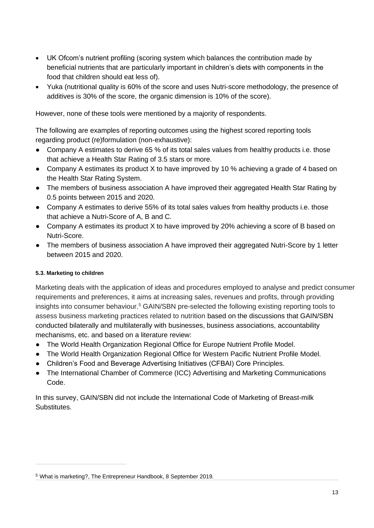- UK Ofcom's nutrient profiling (scoring system which balances the contribution made by beneficial nutrients that are particularly important in children's diets with components in the food that children should eat less of).
- Yuka (nutritional quality is 60% of the score and uses Nutri-score methodology, the presence of additives is 30% of the score, the organic dimension is 10% of the score).

However, none of these tools were mentioned by a majority of respondents.

The following are examples of reporting outcomes using the highest scored reporting tools regarding product (re)formulation (non-exhaustive):

- Company A estimates to derive 65 % of its total sales values from healthy products i.e. those that achieve a Health Star Rating of 3.5 stars or more.
- Company A estimates its product X to have improved by 10 % achieving a grade of 4 based on the Health Star Rating System.
- The members of business association A have improved their aggregated Health Star Rating by 0.5 points between 2015 and 2020.
- Company A estimates to derive 55% of its total sales values from healthy products i.e. those that achieve a Nutri-Score of A, B and C.
- Company A estimates its product X to have improved by 20% achieving a score of B based on Nutri-Score.
- The members of business association A have improved their aggregated Nutri-Score by 1 letter between 2015 and 2020.

# <span id="page-12-0"></span>**5.3. Marketing to children**

Marketing deals with the application of ideas and procedures employed to analyse and predict consumer requirements and preferences, it aims at increasing sales, revenues and profits, through providing insights into consumer behaviour.<sup>5</sup> GAIN/SBN pre-selected the following existing reporting tools to assess business marketing practices related to nutrition based on the discussions that GAIN/SBN conducted bilaterally and multilaterally with businesses, business associations, accountability mechanisms, etc. and based on a literature review:

- The World Health Organization Regional Office for Europe Nutrient Profile Model.
- The World Health Organization Regional Office for Western Pacific Nutrient Profile Model.
- Children's Food and Beverage Advertising Initiatives (CFBAI) Core Principles.
- The International Chamber of Commerce (ICC) Advertising and Marketing Communications Code.

In this survey, GAIN/SBN did not include the International Code of Marketing of Breast-milk **Substitutes** 

<sup>5</sup> [What is marketing?,](https://entrepreneurhandbook.co.uk/what-is-marketing/) The Entrepreneur Handbook, 8 September 2019.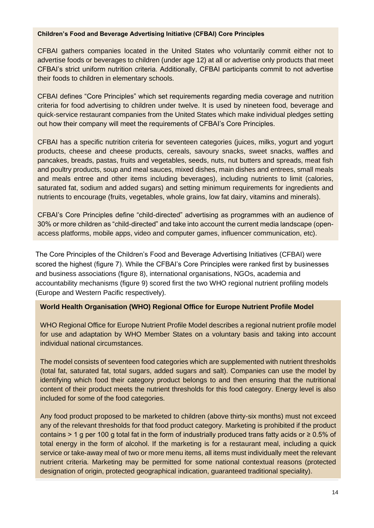#### **[Children's Food and Beverage Advertising Initiative \(CFBAI\) Core Principles](https://bbbprograms.org/programs/all-programs/cfbai/core_principles)**

CFBAI gathers companies located in the United States who voluntarily commit either not to advertise foods or beverages to children (under age 12) at all or advertise only products that meet CFBAI's strict uniform nutrition criteria. Additionally, CFBAI participants commit to not advertise their foods to children in elementary schools.

CFBAI defines "Core Principles" which set requirements regarding media coverage and nutrition criteria for food advertising to children under twelve. It is used by nineteen food, beverage and quick-service restaurant companies from the United States which make individual pledges setting out how their company will meet the requirements of CFBAI's Core Principles.

CFBAI has a specific nutrition criteria for seventeen categories (juices, milks, yogurt and yogurt products, cheese and cheese products, cereals, savoury snacks, sweet snacks, waffles and pancakes, breads, pastas, fruits and vegetables, seeds, nuts, nut butters and spreads, meat fish and poultry products, soup and meal sauces, mixed dishes, main dishes and entrees, small meals and meals entree and other items including beverages), including nutrients to limit (calories, saturated fat, sodium and added sugars) and setting minimum requirements for ingredients and nutrients to encourage (fruits, vegetables, whole grains, low fat dairy, vitamins and minerals).

CFBAI's Core Principles define "child-directed" advertising as programmes with an audience of 30% or more children as "child-directed" and take into account the current media landscape (openaccess platforms, mobile apps, video and computer games, influencer communication, etc).

The Core Principles of the Children's Food and Beverage Advertising Initiatives (CFBAI) were scored the highest (figure 7). While the CFBAI's Core Principles were ranked first by businesses and business associations (figure 8), international organisations, NGOs, academia and accountability mechanisms (figure 9) scored first the two WHO regional nutrient profiling models (Europe and Western Pacific respectively).

## **[World Health Organisation \(WHO\) Regional Office for Europe Nutrient Profile Model](http://www.euro.who.int/__data/assets/pdf_file/0005/270716/Nutrient-children_web-new.pdf?ua=1)**

WHO Regional Office for Europe Nutrient Profile Model describes a regional nutrient profile model for use and adaptation by WHO Member States on a voluntary basis and taking into account individual national circumstances.

The model consists of seventeen food categories which are supplemented with nutrient thresholds (total fat, saturated fat, total sugars, added sugars and salt). Companies can use the model by identifying which food their category product belongs to and then ensuring that the nutritional content of their product meets the nutrient thresholds for this food category. Energy level is also included for some of the food categories.

Any food product proposed to be marketed to children (above thirty-six months) must not exceed any of the relevant thresholds for that food product category. Marketing is prohibited if the product contains > 1 g per 100 g total fat in the form of industrially produced trans fatty acids or ≥ 0.5% of total energy in the form of alcohol. If the marketing is for a restaurant meal, including a quick service or take-away meal of two or more menu items, all items must individually meet the relevant nutrient criteria. Marketing may be permitted for some national contextual reasons (protected designation of origin, protected geographical indication, guaranteed traditional speciality).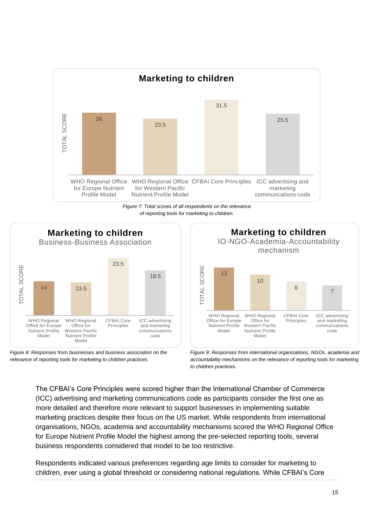

*Figure 7: Total scores of all respondents on the relevance of reporting tools for marketing to children.*







*Figure 9: Responses from international organisations, NGOs, academia and accountability mechanisms on the relevance of reporting tools for marketing to children practices.*

The CFBAI's Core Principles were scored higher than the International Chamber of Commerce (ICC) advertising and marketing communications code as participants consider the first one as more detailed and therefore more relevant to support businesses in implementing suitable marketing practices despite their focus on the US market. While respondents from international organisations, NGOs, academia and accountability mechanisms scored the WHO Regional Office for Europe Nutrient Profile Model the highest among the pre-selected reporting tools, several business respondents considered that model to be too restrictive.

Respondents indicated various preferences regarding age limits to consider for marketing to children, ever using a global threshold or considering national regulations. While CFBAI's Core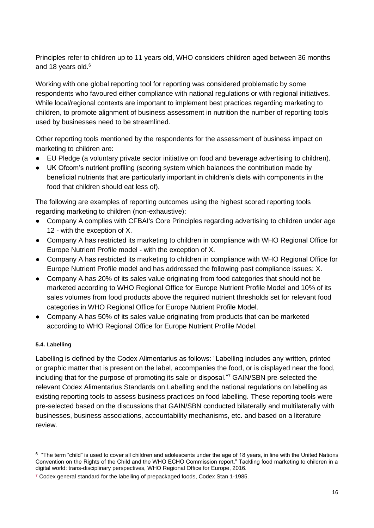Principles refer to children up to 11 years old, WHO considers children aged between 36 months and 18 years old.<sup>6</sup>

Working with one global reporting tool for reporting was considered problematic by some respondents who favoured either compliance with national regulations or with regional initiatives. While local/regional contexts are important to implement best practices regarding marketing to children, to promote alignment of business assessment in nutrition the number of reporting tools used by businesses need to be streamlined.

Other reporting tools mentioned by the respondents for the assessment of business impact on marketing to children are:

- EU Pledge (a voluntary private sector initiative on food and beverage advertising to children).
- UK Ofcom's nutrient profiling (scoring system which balances the contribution made by beneficial nutrients that are particularly important in children's diets with components in the food that children should eat less of).

The following are examples of reporting outcomes using the highest scored reporting tools regarding marketing to children (non-exhaustive):

- Company A complies with CFBAI's Core Principles regarding advertising to children under age 12 - with the exception of X.
- Company A has restricted its marketing to children in compliance with WHO Regional Office for Europe Nutrient Profile model - with the exception of X.
- Company A has restricted its marketing to children in compliance with WHO Regional Office for Europe Nutrient Profile model and has addressed the following past compliance issues: X.
- Company A has 20% of its sales value originating from food categories that should not be marketed according to WHO Regional Office for Europe Nutrient Profile Model and 10% of its sales volumes from food products above the required nutrient thresholds set for relevant food categories in WHO Regional Office for Europe Nutrient Profile Model.
- Company A has 50% of its sales value originating from products that can be marketed according to WHO Regional Office for Europe Nutrient Profile Model.

# <span id="page-15-0"></span>**5.4. Labelling**

Labelling is defined by the Codex Alimentarius as follows: "Labelling includes any written, printed or graphic matter that is present on the label, accompanies the food, or is displayed near the food, including that for the purpose of promoting its sale or disposal."<sup>7</sup> GAIN/SBN pre-selected the relevant Codex Alimentarius Standards on Labelling and the national regulations on labelling as existing reporting tools to assess business practices on food labelling. These reporting tools were pre-selected based on the discussions that GAIN/SBN conducted bilaterally and multilaterally with businesses, business associations, accountability mechanisms, etc. and based on a literature review.

 $6$  "The term "child" is used to cover all children and adolescents under the age of 18 years, in line with the United Nations Convention on the Rights of the Child and the WHO ECHO Commission report." Tackling food marketing to children in a digital world: trans-disciplinary perspectives, WHO Regional Office for Europe, 2016.

<sup>&</sup>lt;sup>7</sup> Codex general standard for the labelling of prepackaged foods, Codex Stan 1-1985.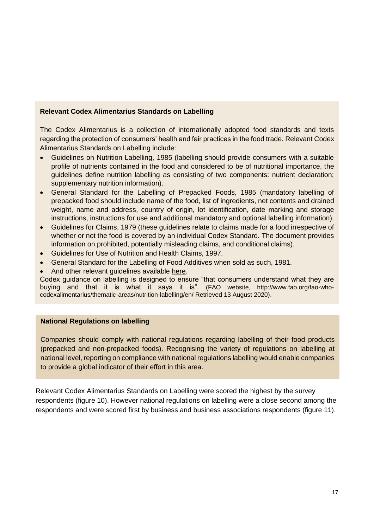# **[Relevant Codex Alimentarius Standards on Labelling](http://www.fao.org/fao-who-codexalimentarius/thematic-areas/nutrition-labelling/en/)**

The Codex Alimentarius is a collection of internationally adopted food standards and texts regarding the protection of consumers' health and fair practices in the food trade. Relevant Codex Alimentarius Standards on Labelling include:

- Guidelines on Nutrition Labelling, 1985 (labelling should provide consumers with a suitable profile of nutrients contained in the food and considered to be of nutritional importance, the guidelines define nutrition labelling as consisting of two components: nutrient declaration; supplementary nutrition information).
- General Standard for the Labelling of Prepacked Foods, 1985 (mandatory labelling of prepacked food should include name of the food, list of ingredients, net contents and drained weight, name and address, country of origin, lot identification, date marking and storage instructions, instructions for use and additional mandatory and optional labelling information).
- Guidelines for Claims, 1979 (these guidelines relate to claims made for a food irrespective of whether or not the food is covered by an individual Codex Standard. The document provides information on prohibited, potentially misleading claims, and conditional claims).
- Guidelines for Use of Nutrition and Health Claims, 1997.
- General Standard for the Labelling of Food Additives when sold as such, 1981.
- And other relevant guidelines available [here.](http://www.fao.org/fao-who-codexalimentarius/thematic-areas/nutrition-labelling/en/)

Codex guidance on labelling is designed to ensure "that consumers understand what they are buying and that it is what it says it is". (FAO website, http://www.fao.org/fao-whocodexalimentarius/thematic-areas/nutrition-labelling/en/ Retrieved 13 August 2020).

# **National Regulations on labelling**

Companies should comply with national regulations regarding labelling of their food products (prepacked and non-prepacked foods). Recognising the variety of regulations on labelling at national level, reporting on compliance with national regulations labelling would enable companies to provide a global indicator of their effort in this area.

Relevant Codex Alimentarius Standards on Labelling were scored the highest by the survey respondents (figure 10). However national regulations on labelling were a close second among the respondents and were scored first by business and business associations respondents (figure 11).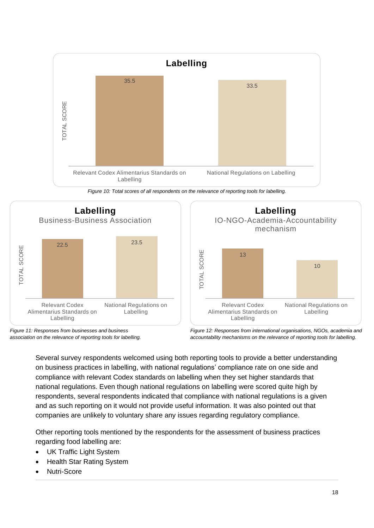

*Figure 10: Total scores of all respondents on the relevance of reporting tools for labelling.*



*Figure 11: Responses from businesses and business association on the relevance of reporting tools for labelling.* 



*Figure 12: Responses from international organisations, NGOs, academia and accountability mechanisms on the relevance of reporting tools for labelling.*

Several survey respondents welcomed using both reporting tools to provide a better understanding on business practices in labelling, with national regulations' compliance rate on one side and compliance with relevant Codex standards on labelling when they set higher standards that national regulations. Even though national regulations on labelling were scored quite high by respondents, several respondents indicated that compliance with national regulations is a given and as such reporting on it would not provide useful information. It was also pointed out that companies are unlikely to voluntary share any issues regarding regulatory compliance.

Other reporting tools mentioned by the respondents for the assessment of business practices regarding food labelling are:

- UK Traffic Light System
- Health Star Rating System
- Nutri-Score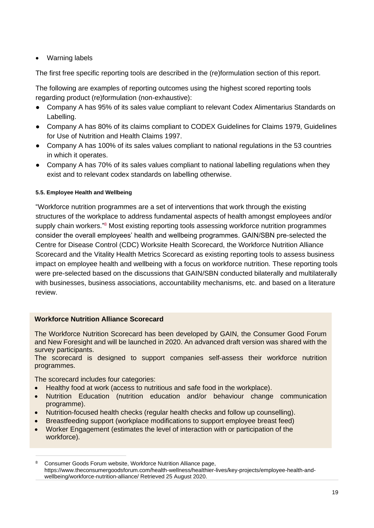# • Warning labels

The first free specific reporting tools are described in the (re)formulation section of this report.

The following are examples of reporting outcomes using the highest scored reporting tools regarding product (re)formulation (non-exhaustive):

- Company A has 95% of its sales value compliant to relevant Codex Alimentarius Standards on Labelling.
- Company A has 80% of its claims compliant to CODEX Guidelines for Claims 1979, Guidelines for Use of Nutrition and Health Claims 1997.
- Company A has 100% of its sales values compliant to national regulations in the 53 countries in which it operates.
- Company A has 70% of its sales values compliant to national labelling regulations when they exist and to relevant codex standards on labelling otherwise.

## <span id="page-18-0"></span>**5.5. Employee Health and Wellbeing**

"Workforce nutrition programmes are a set of interventions that work through the existing structures of the workplace to address fundamental aspects of health amongst employees and/or supply chain workers."<sup>8</sup> Most existing reporting tools assessing workforce nutrition programmes consider the overall employees' health and wellbeing programmes. GAIN/SBN pre-selected the Centre for Disease Control (CDC) Worksite Health Scorecard, the Workforce Nutrition Alliance Scorecard and the Vitality Health Metrics Scorecard as existing reporting tools to assess business impact on employee health and wellbeing with a focus on workforce nutrition. These reporting tools were pre-selected based on the discussions that GAIN/SBN conducted bilaterally and multilaterally with businesses, business associations, accountability mechanisms, etc. and based on a literature review.

## **Workforce Nutrition Alliance Scorecard**

The Workforce Nutrition Scorecard has been developed by GAIN, the Consumer Good Forum and New Foresight and will be launched in 2020. An advanced draft version was shared with the survey participants.

The scorecard is designed to support companies self-assess their workforce nutrition programmes.

The scorecard includes four categories:

- Healthy food at work (access to nutritious and safe food in the workplace).
- Nutrition Education (nutrition education and/or behaviour change communication programme).
- Nutrition-focused health checks (regular health checks and follow up counselling).
- Breastfeeding support (workplace modifications to support employee breast feed)
- Worker Engagement (estimates the level of interaction with or participation of the workforce).

<sup>8</sup> Consumer Goods Forum website, Workforce Nutrition Alliance page, [https://www.theconsumergoodsforum.com/health-wellness/healthier-lives/key-projects/employee-health-and](https://www.theconsumergoodsforum.com/health-wellness/healthier-lives/key-projects/employee-health-and-wellbeing/workforce-nutrition-alliance/)[wellbeing/workforce-nutrition-alliance/](https://www.theconsumergoodsforum.com/health-wellness/healthier-lives/key-projects/employee-health-and-wellbeing/workforce-nutrition-alliance/) Retrieved 25 August 2020.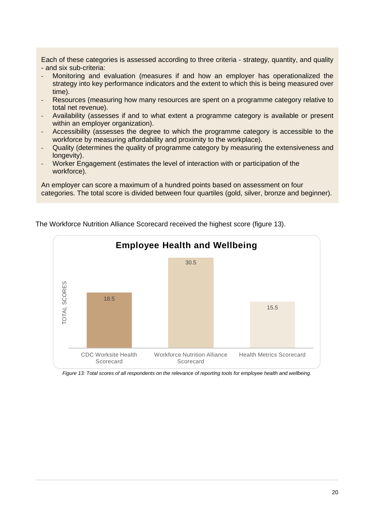Each of these categories is assessed according to three criteria - strategy, quantity, and quality - and six sub-criteria:

- Monitoring and evaluation (measures if and how an employer has operationalized the strategy into key performance indicators and the extent to which this is being measured over time).
- Resources (measuring how many resources are spent on a programme category relative to total net revenue).
- Availability (assesses if and to what extent a programme category is available or present within an employer organization).
- Accessibility (assesses the degree to which the programme category is accessible to the workforce by measuring affordability and proximity to the workplace).
- Quality (determines the quality of programme category by measuring the extensiveness and longevity).
- Worker Engagement (estimates the level of interaction with or participation of the workforce).

An employer can score a maximum of a hundred points based on assessment on four categories. The total score is divided between four quartiles (gold, silver, bronze and beginner).



The Workforce Nutrition Alliance Scorecard received the highest score (figure 13).

*Figure 13: Total scores of all respondents on the relevance of reporting tools for employee health and wellbeing.*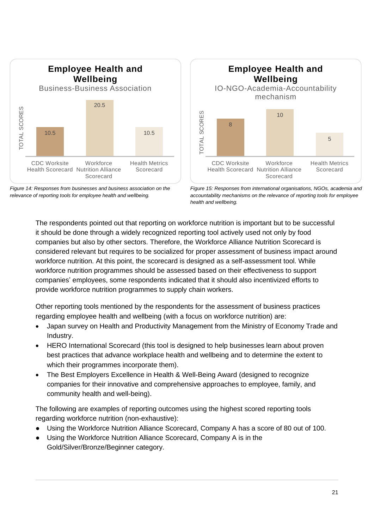





*Figure 15: Responses from international organisations, NGOs, academia and accountability mechanisms on the relevance of reporting tools for employee health and wellbeing.*

The respondents pointed out that reporting on workforce nutrition is important but to be successful it should be done through a widely recognized reporting tool actively used not only by food companies but also by other sectors. Therefore, the Workforce Alliance Nutrition Scorecard is considered relevant but requires to be socialized for proper assessment of business impact around workforce nutrition. At this point, the scorecard is designed as a self-assessment tool. While workforce nutrition programmes should be assessed based on their effectiveness to support companies' employees, some respondents indicated that it should also incentivized efforts to provide workforce nutrition programmes to supply chain workers.

Other reporting tools mentioned by the respondents for the assessment of business practices regarding employee health and wellbeing (with a focus on workforce nutrition) are:

- Japan survey on Health and Productivity Management from the Ministry of Economy Trade and Industry.
- HERO International Scorecard (this tool is designed to help businesses learn about proven best practices that advance workplace health and wellbeing and to determine the extent to which their programmes incorporate them).
- The Best Employers Excellence in Health & Well-Being Award (designed to recognize companies for their innovative and comprehensive approaches to employee, family, and community health and well-being).

The following are examples of reporting outcomes using the highest scored reporting tools regarding workforce nutrition (non-exhaustive):

- Using the Workforce Nutrition Alliance Scorecard, Company A has a score of 80 out of 100.
- Using the Workforce Nutrition Alliance Scorecard, Company A is in the Gold/Silver/Bronze/Beginner category.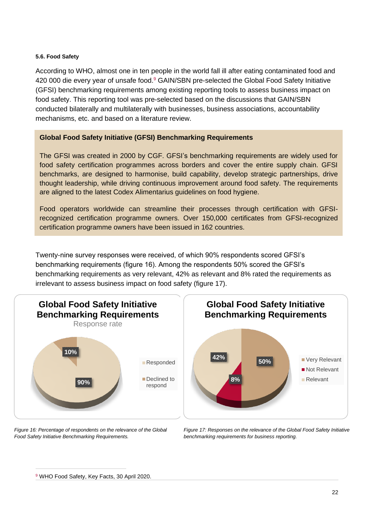#### <span id="page-21-0"></span>**5.6. Food Safety**

According to WHO, almost one in ten people in the world fall ill after eating contaminated food and 420 000 die every year of unsafe food.<sup>9</sup> GAIN/SBN pre-selected the Global Food Safety Initiative (GFSI) benchmarking requirements among existing reporting tools to assess business impact on food safety. This reporting tool was pre-selected based on the discussions that GAIN/SBN conducted bilaterally and multilaterally with businesses, business associations, accountability mechanisms, etc. and based on a literature review.

## **[Global Food Safety Initiative \(GFSI\) Benchmarking Requirements](https://mygfsi.com/news-and-resources/?type=publications&topic=benchmarking&lang=english)**

The GFSI was created in 2000 by CGF. GFSI's benchmarking requirements are widely used for food safety certification programmes across borders and cover the entire supply chain. GFSI benchmarks, are designed to harmonise, build capability, develop strategic partnerships, drive thought leadership, while driving continuous improvement around food safety. The requirements are aligned to the latest Codex Alimentarius guidelines on food hygiene.

Food operators worldwide can streamline their processes through certification with GFSIrecognized certification programme owners. Over 150,000 certificates from GFSI-recognized certification programme owners have been issued in 162 countries.

Twenty-nine survey responses were received, of which 90% respondents scored GFSI's benchmarking requirements (figure 16). Among the respondents 50% scored the GFSI's benchmarking requirements as very relevant, 42% as relevant and 8% rated the requirements as irrelevant to assess business impact on food safety (figure 17).







*Figure 17: Responses on the relevance of the Global Food Safety Initiative benchmarking requirements for business reporting.*

<sup>&</sup>lt;sup>9</sup> WHO Food Safety, Key Facts, 30 April 2020.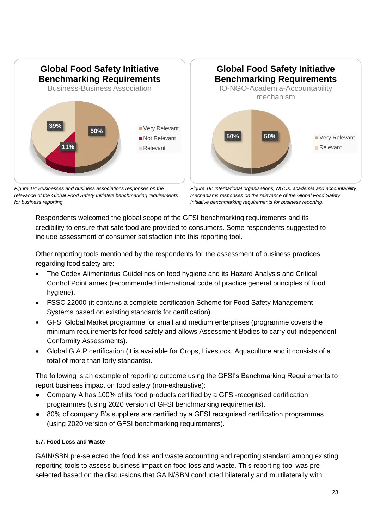

*Figure 18: Businesses and business associations responses on the relevance of the Global Food Safety Initiative benchmarking requirements for business reporting.*



*Figure 19: International organisations, NGOs, academia and accountability mechanisms responses on the relevance of the Global Food Safety Initiative benchmarking requirements for business reporting.*

Respondents welcomed the global scope of the GFSI benchmarking requirements and its credibility to ensure that safe food are provided to consumers. Some respondents suggested to include assessment of consumer satisfaction into this reporting tool.

Other reporting tools mentioned by the respondents for the assessment of business practices regarding food safety are:

- The Codex Alimentarius Guidelines on food hygiene and its Hazard Analysis and Critical Control Point annex (recommended international code of practice general principles of food hygiene).
- FSSC 22000 (it contains a complete certification Scheme for Food Safety Management Systems based on existing standards for certification).
- GFSI Global Market programme for small and medium enterprises (programme covers the minimum requirements for food safety and allows Assessment Bodies to carry out independent Conformity Assessments).
- Global G.A.P certification (it is available for Crops, Livestock, Aquaculture and it consists of a total of more than forty standards).

The following is an example of reporting outcome using the GFSI's Benchmarking Requirements to report business impact on food safety (non-exhaustive):

- Company A has 100% of its food products certified by a GFSI-recognised certification programmes (using 2020 version of GFSI benchmarking requirements).
- 80% of company B's suppliers are certified by a GFSI recognised certification programmes (using 2020 version of GFSI benchmarking requirements).

# <span id="page-22-0"></span>**5.7. Food Loss and Waste**

GAIN/SBN pre-selected the food loss and waste accounting and reporting standard among existing reporting tools to assess business impact on food loss and waste. This reporting tool was preselected based on the discussions that GAIN/SBN conducted bilaterally and multilaterally with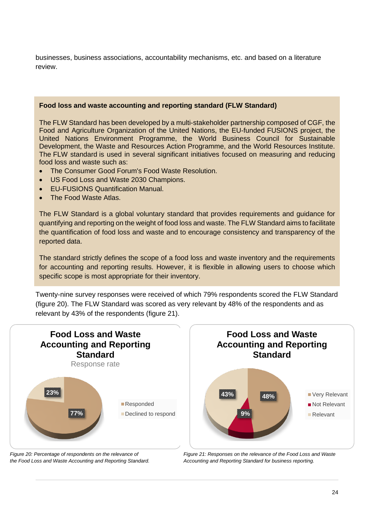businesses, business associations, accountability mechanisms, etc. and based on a literature review.

## **[Food loss and waste accounting and reporting standard](https://flwprotocol.org/flw-standard/tools-resources/) (FLW Standard)**

The FLW Standard has been developed by a multi-stakeholder partnership composed of CGF, the Food and Agriculture Organization of the United Nations, the EU-funded FUSIONS project, the United Nations Environment Programme, the World Business Council for Sustainable Development, the Waste and Resources Action Programme, and the World Resources Institute. The [FLW standard](https://flwprotocol.org/flw-standard/) is used in several significant initiatives focused on measuring and reducing food loss and waste such as:

- The Consumer Good Forum's Food Waste Resolution.
- US Food Loss and Waste 2030 Champions.
- EU-FUSIONS Quantification Manual.
- **The Food Waste Atlas.**

The FLW Standard is a global voluntary standard that provides requirements and guidance for quantifying and reporting on the weight of food loss and waste. The FLW Standard aims to facilitate the quantification of food loss and waste and to encourage consistency and transparency of the reported data.

The standard strictly defines the scope of a food loss and waste inventory and the requirements for accounting and reporting results. However, it is flexible in allowing users to choose which specific scope is most appropriate for their inventory.

Twenty-nine survey responses were received of which 79% respondents scored the FLW Standard (figure 20). The FLW Standard was scored as very relevant by 48% of the respondents and as relevant by 43% of the respondents (figure 21).



*Figure 20: Percentage of respondents on the relevance of the Food Loss and Waste Accounting and Reporting Standard.*

*Figure 21: Responses on the relevance of the Food Loss and Waste Accounting and Reporting Standard for business reporting.*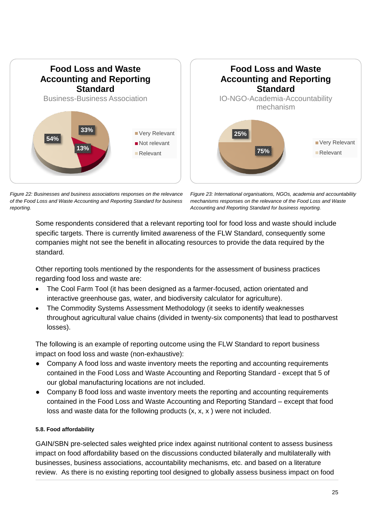

*Figure 22: Businesses and business associations responses on the relevance of the Food Loss and Waste Accounting and Reporting Standard for business reporting.*

*Figure 23: International organisations, NGOs, academia and accountability mechanisms responses on the relevance of the Food Loss and Waste Accounting and Reporting Standard for business reporting.*

Some respondents considered that a relevant reporting tool for food loss and waste should include specific targets. There is currently limited awareness of the FLW Standard, consequently some companies might not see the benefit in allocating resources to provide the data required by the standard.

Other reporting tools mentioned by the respondents for the assessment of business practices regarding food loss and waste are:

- The Cool Farm Tool (it has been designed as a farmer-focused, action orientated and interactive greenhouse gas, water, and biodiversity calculator for agriculture).
- The Commodity Systems Assessment Methodology (it seeks to identify weaknesses throughout agricultural value chains (divided in twenty-six components) that lead to postharvest losses).

The following is an example of reporting outcome using the FLW Standard to report business impact on food loss and waste (non-exhaustive):

- Company A food loss and waste inventory meets the reporting and accounting requirements contained in the Food Loss and Waste Accounting and Reporting Standard - except that 5 of our global manufacturing locations are not included.
- Company B food loss and waste inventory meets the reporting and accounting requirements contained in the Food Loss and Waste Accounting and Reporting Standard – except that food loss and waste data for the following products (x, x, x ) were not included.

# <span id="page-24-0"></span>**5.8. Food affordability**

GAIN/SBN pre-selected sales weighted price index against nutritional content to assess business impact on food affordability based on the discussions conducted bilaterally and multilaterally with businesses, business associations, accountability mechanisms, etc. and based on a literature review. As there is no existing reporting tool designed to globally assess business impact on food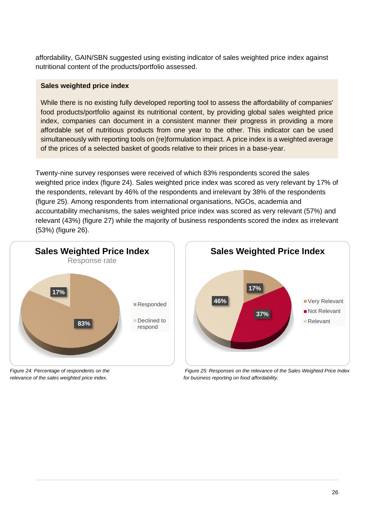affordability, GAIN/SBN suggested using existing indicator of sales weighted price index against nutritional content of the products/portfolio assessed.

## **Sales weighted price index**

While there is no existing fully developed reporting tool to assess the affordability of companies' food products/portfolio against its nutritional content, by providing global sales weighted price index, companies can document in a consistent manner their progress in providing a more affordable set of nutritious products from one year to the other. This indicator can be used simultaneously with reporting tools on (re)formulation impact. A price index is a weighted average of the prices of a selected basket of goods relative to their prices in a base-year.

Twenty-nine survey responses were received of which 83% respondents scored the sales weighted price index (figure 24). Sales weighted price index was scored as very relevant by 17% of the respondents, relevant by 46% of the respondents and irrelevant by 38% of the respondents (figure 25). Among respondents from international organisations, NGOs, academia and accountability mechanisms, the sales weighted price index was scored as very relevant (57%) and relevant (43%) (figure 27) while the majority of business respondents scored the index as irrelevant (53%) (figure 26).



*Figure 24: Percentage of respondents on the relevance of the sales weighted price index.*



*Figure 25: Responses on the relevance of the Sales Weighted Price Index for business reporting on food affordability.*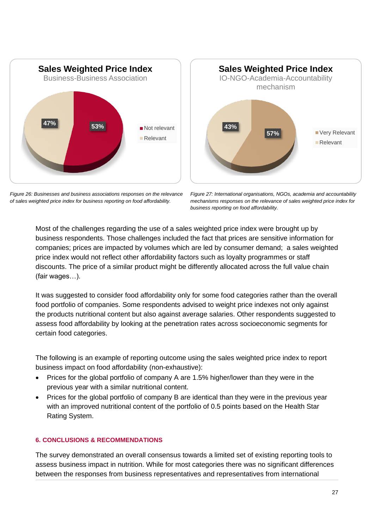





*Figure 27: International organisations, NGOs, academia and accountability mechanisms responses on the relevance of sales weighted price index for business reporting on food affordability.*

Most of the challenges regarding the use of a sales weighted price index were brought up by business respondents. Those challenges included the fact that prices are sensitive information for companies; prices are impacted by volumes which are led by consumer demand; a sales weighted price index would not reflect other affordability factors such as loyalty programmes or staff discounts. The price of a similar product might be differently allocated across the full value chain (fair wages…).

It was suggested to consider food affordability only for some food categories rather than the overall food portfolio of companies. Some respondents advised to weight price indexes not only against the products nutritional content but also against average salaries. Other respondents suggested to assess food affordability by looking at the penetration rates across socioeconomic segments for certain food categories.

The following is an example of reporting outcome using the sales weighted price index to report business impact on food affordability (non-exhaustive):

- Prices for the global portfolio of company A are 1.5% higher/lower than they were in the previous year with a similar nutritional content.
- Prices for the global portfolio of company B are identical than they were in the previous year with an improved nutritional content of the portfolio of 0.5 points based on the Health Star Rating System.

# <span id="page-26-0"></span>**6. CONCLUSIONS & RECOMMENDATIONS**

The survey demonstrated an overall consensus towards a limited set of existing reporting tools to assess business impact in nutrition. While for most categories there was no significant differences between the responses from business representatives and representatives from international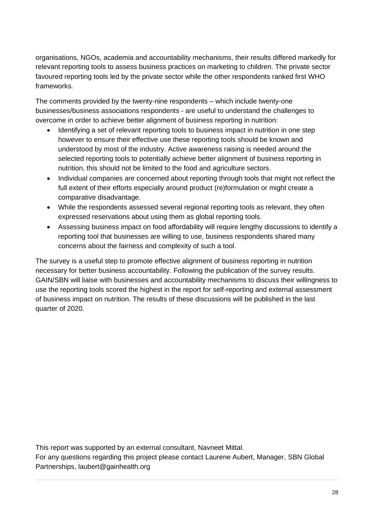organisations, NGOs, academia and accountability mechanisms, their results differed markedly for relevant reporting tools to assess business practices on marketing to children. The private sector favoured reporting tools led by the private sector while the other respondents ranked first WHO frameworks.

The comments provided by the twenty-nine respondents – which include twenty-one businesses/business associations respondents - are useful to understand the challenges to overcome in order to achieve better alignment of business reporting in nutrition:

- Identifying a set of relevant reporting tools to business impact in nutrition in one step however to ensure their effective use these reporting tools should be known and understood by most of the industry. Active awareness raising is needed around the selected reporting tools to potentially achieve better alignment of business reporting in nutrition, this should not be limited to the food and agriculture sectors.
- Individual companies are concerned about reporting through tools that might not reflect the full extent of their efforts especially around product (re)formulation or might create a comparative disadvantage.
- While the respondents assessed several regional reporting tools as relevant, they often expressed reservations about using them as global reporting tools.
- Assessing business impact on food affordability will require lengthy discussions to identify a reporting tool that businesses are willing to use, business respondents shared many concerns about the fairness and complexity of such a tool.

The survey is a useful step to promote effective alignment of business reporting in nutrition necessary for better business accountability. Following the publication of the survey results. GAIN/SBN will liaise with businesses and accountability mechanisms to discuss their willingness to use the reporting tools scored the highest in the report for self-reporting and external assessment of business impact on nutrition. The results of these discussions will be published in the last quarter of 2020.

This report was supported by an external consultant, Navneet Mittal.

For any questions regarding this project please contact Laurene Aubert, Manager, SBN Global Partnerships, laubert@gainhealth.org